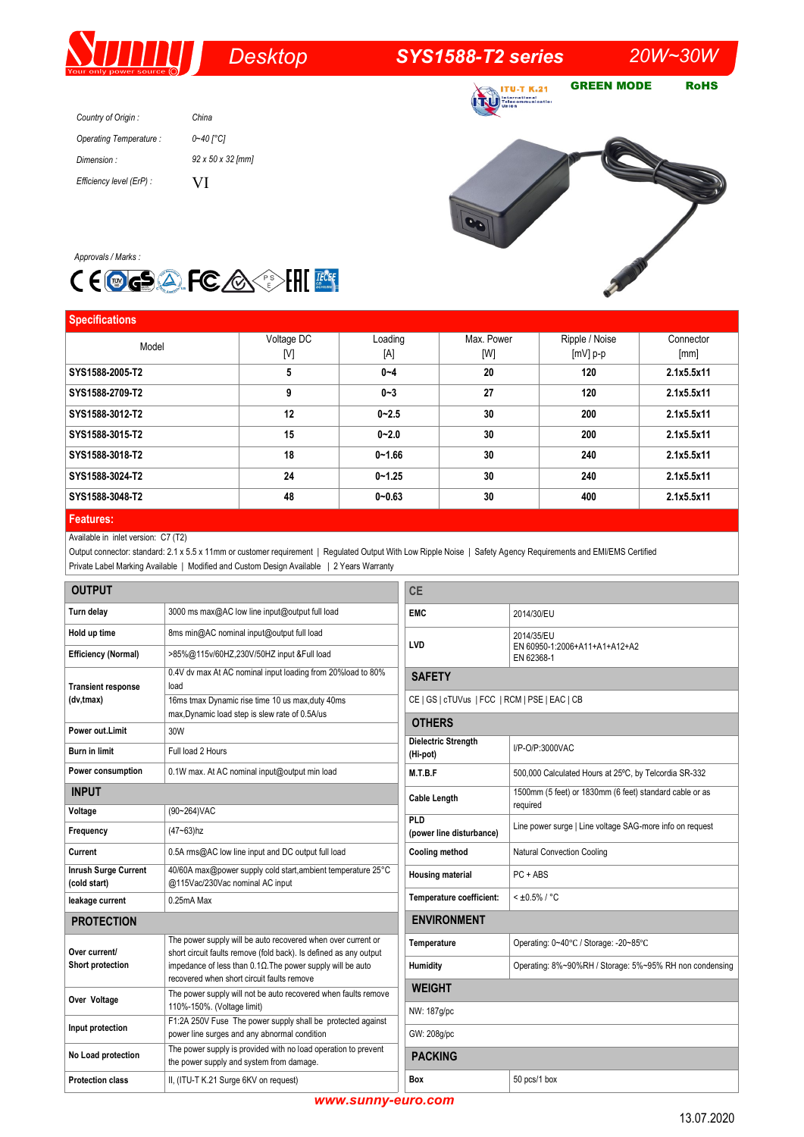# *Desktop SYS1588-T2 series 20W~30W*

**ITU-T K.21** 

GREEN MODE RoHS

| Country of Origin:       | China             |
|--------------------------|-------------------|
| Operating Temperature:   | 0~40 [°C]         |
| Dimension:               | 92 x 50 x 32 [mm] |
| Efficiency level (ErP) : | VI                |





| <b>Specifications</b> |            |            |            |                |            |
|-----------------------|------------|------------|------------|----------------|------------|
| Model                 | Voltage DC | Loading    | Max. Power | Ripple / Noise | Connector  |
|                       | [V]        | [A]        | [W]        | $[mV]$ p-p     | [mm]       |
| SYS1588-2005-T2       | 5          | $0 - 4$    | 20         | 120            | 2.1x5.5x11 |
| SYS1588-2709-T2       | 9          | $0 - 3$    | 27         | 120            | 2.1x5.5x11 |
| SYS1588-3012-T2       | 12         | $0 - 2.5$  | 30         | 200            | 2.1x5.5x11 |
| SYS1588-3015-T2       | 15         | $0 - 2.0$  | 30         | 200            | 2.1x5.5x11 |
| SYS1588-3018-T2       | 18         | $0 - 1.66$ | 30         | 240            | 2.1x5.5x11 |
| SYS1588-3024-T2       | 24         | $0 - 1.25$ | 30         | 240            | 2.1x5.5x11 |
| SYS1588-3048-T2       | 48         | $0 - 0.63$ | 30         | 400            | 2.1x5.5x11 |
| <b>Features:</b>      |            |            |            |                |            |

# Available in inlet version: C7 (T2)

Output connector: standard: 2.1 x 5.5 x 11mm or customer requirement | Regulated Output With Low Ripple Noise | Safety Agency Requirements and EMI/EMS Certified Private Label Marking Available | Modified and Custom Design Available | 2 Years Warranty

| <b>OUTPUT</b>                               |                                                                                                                                   | <b>CE</b>                                                                                  |                                                           |  |
|---------------------------------------------|-----------------------------------------------------------------------------------------------------------------------------------|--------------------------------------------------------------------------------------------|-----------------------------------------------------------|--|
| Turn delay                                  | 3000 ms max@AC low line input@output full load                                                                                    | <b>EMC</b>                                                                                 | 2014/30/EU                                                |  |
| Hold up time                                | 8ms min@AC nominal input@output full load                                                                                         | <b>LVD</b>                                                                                 | 2014/35/EU<br>EN 60950-1:2006+A11+A1+A12+A2<br>EN 62368-1 |  |
| <b>Efficiency (Normal)</b>                  | >85%@115v/60HZ,230V/50HZ input &Full load                                                                                         |                                                                                            |                                                           |  |
| <b>Transient response</b>                   | 0.4V dv max At AC nominal input loading from 20%load to 80%<br>load                                                               | <b>SAFETY</b><br>CE   GS   cTUVus   FCC   RCM   PSE   EAC   CB                             |                                                           |  |
| (dv, tmax)                                  | 16ms tmax Dynamic rise time 10 us max, duty 40ms<br>max, Dynamic load step is slew rate of 0.5A/us                                |                                                                                            |                                                           |  |
| Power out.Limit                             | 30W                                                                                                                               | <b>OTHERS</b>                                                                              |                                                           |  |
| <b>Burn in limit</b>                        | Full load 2 Hours                                                                                                                 | Dielectric Strength<br>(Hi-pot)                                                            | I/P-O/P:3000VAC                                           |  |
| Power consumption                           | 0.1W max. At AC nominal input@output min load                                                                                     | M.T.B.F                                                                                    | 500,000 Calculated Hours at 25°C, by Telcordia SR-332     |  |
| <b>INPUT</b><br>Voltage                     | (90~264) VAC                                                                                                                      | 1500mm (5 feet) or 1830mm (6 feet) standard cable or as<br><b>Cable Length</b><br>required |                                                           |  |
| Frequency                                   | $(47 - 63)$ hz                                                                                                                    | PLD<br>(power line disturbance)                                                            | Line power surge   Line voltage SAG-more info on request  |  |
| Current                                     | 0.5A rms@AC low line input and DC output full load                                                                                | <b>Cooling method</b>                                                                      | <b>Natural Convection Cooling</b>                         |  |
| <b>Inrush Surge Current</b><br>(cold start) | 40/60A max@power supply cold start, ambient temperature 25°C<br>@115Vac/230Vac nominal AC input                                   | <b>Housing material</b>                                                                    | $PC + ABS$                                                |  |
| leakage current                             | 0.25mA Max                                                                                                                        | Temperature coefficient:                                                                   | $< 10.5\% / °C$                                           |  |
| <b>PROTECTION</b>                           |                                                                                                                                   | <b>ENVIRONMENT</b>                                                                         |                                                           |  |
| Over current/                               | The power supply will be auto recovered when over current or<br>short circuit faults remove (fold back). Is defined as any output | Temperature                                                                                | Operating: 0~40°C / Storage: -20~85°C                     |  |
| Short protection                            | impedance of less than $0.1\Omega$ . The power supply will be auto<br>recovered when short circuit faults remove                  | Humidity                                                                                   | Operating: 8%~90%RH / Storage: 5%~95% RH non condensing   |  |
| Over Voltage                                | The power supply will not be auto recovered when faults remove                                                                    | <b>WEIGHT</b>                                                                              |                                                           |  |
|                                             | 110%-150%. (Voltage limit)<br>F1:2A 250V Fuse The power supply shall be protected against                                         | NW: 187g/pc                                                                                |                                                           |  |
| Input protection                            | power line surges and any abnormal condition                                                                                      | GW: 208q/pc                                                                                |                                                           |  |
| No Load protection                          | The power supply is provided with no load operation to prevent<br>the power supply and system from damage.                        | <b>PACKING</b>                                                                             |                                                           |  |
| <b>Protection class</b>                     | II, (ITU-T K.21 Surge 6KV on request)                                                                                             | Box                                                                                        | 50 pcs/1 box                                              |  |

*www.sunny-euro.com*